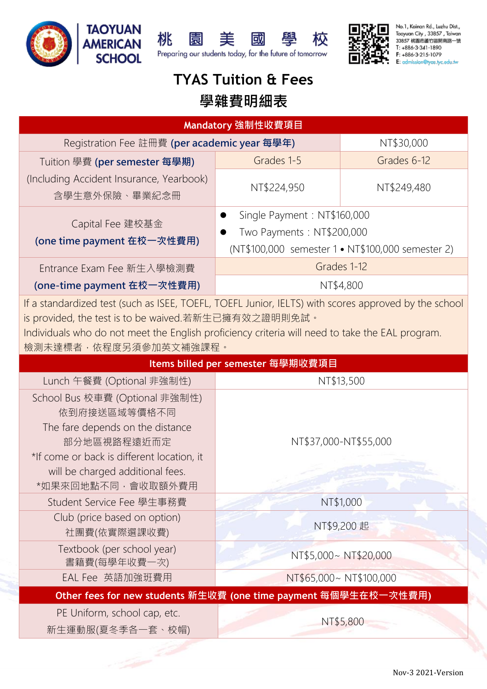







No.1. Kainan Rd., Luzhu Dist., Taoyuan City, 33857, Taiwan 33857 桃園市蘆竹區開南路一號 T: +886-3-341-1890 F: +886-3-215-1079 ssion@tyas.tyc.edu.tw

## **TYAS Tuition & Fees**

## **學雜費明細表**

| Mandatory 強制性收費項目                                                                                                                                                                                                                                                                        |                                                                                                               |                       |  |
|------------------------------------------------------------------------------------------------------------------------------------------------------------------------------------------------------------------------------------------------------------------------------------------|---------------------------------------------------------------------------------------------------------------|-----------------------|--|
| Registration Fee 註冊費 (per academic year 每學年)                                                                                                                                                                                                                                             |                                                                                                               | NT\$30,000            |  |
| Tuition 學費 (per semester 每學期)                                                                                                                                                                                                                                                            | Grades 1-5                                                                                                    | Grades 6-12           |  |
| (Including Accident Insurance, Yearbook)<br>含學生意外保險、畢業紀念冊                                                                                                                                                                                                                                | NT\$224,950                                                                                                   | NT\$249,480           |  |
| Capital Fee 建校基金<br>(one time payment 在校一次性費用)                                                                                                                                                                                                                                           | Single Payment: NT\$160,000<br>Two Payments: NT\$200,000<br>(NT\$100,000 semester 1 • NT\$100,000 semester 2) |                       |  |
| Entrance Exam Fee 新生入學檢測費                                                                                                                                                                                                                                                                | Grades 1-12<br>NT\$4,800                                                                                      |                       |  |
| (one-time payment 在校一次性費用)                                                                                                                                                                                                                                                               |                                                                                                               |                       |  |
| If a standardized test (such as ISEE, TOEFL, TOEFL Junior, IELTS) with scores approved by the school<br>is provided, the test is to be waived.若新生已擁有效之證明則免試。<br>Individuals who do not meet the English proficiency criteria will need to take the EAL program.<br>檢測未達標者,依程度另須參加英文補強課程。 |                                                                                                               |                       |  |
| Items billed per semester 每學期收費項目                                                                                                                                                                                                                                                        |                                                                                                               |                       |  |
| Lunch 午餐費 (Optional 非強制性)                                                                                                                                                                                                                                                                | NT\$13,500                                                                                                    |                       |  |
| School Bus 校車費 (Optional 非強制性)<br>依到府接送區域等價格不同<br>The fare depends on the distance<br>部分地區視路程遠近而定<br>*If come or back is different location, it<br>will be charged additional fees.<br>*如果來回地點不同,會收取額外費用                                                                                 |                                                                                                               | NT\$37,000-NT\$55,000 |  |
| Student Service Fee 學生事務費                                                                                                                                                                                                                                                                |                                                                                                               | NT\$1,000             |  |
| Club (price based on option)<br>社團費(依實際選課收費)                                                                                                                                                                                                                                             | NT\$9,200 起                                                                                                   |                       |  |
| Textbook (per school year)<br>合约斤小曲                                                                                                                                                                                                                                                      |                                                                                                               | NT\$5,000~NT\$20,000  |  |

**Other fees for new students 新生收費 (one time payment 每個學生在校一次性費用)**

EAL Fee 英語加強班費用 NT\$65,000~ NT\$100,000

PE Uniform, school cap, etc.

書籍費(每學年收費一次)

新生運動服(夏冬季各一套、校帽)

NT\$5,800